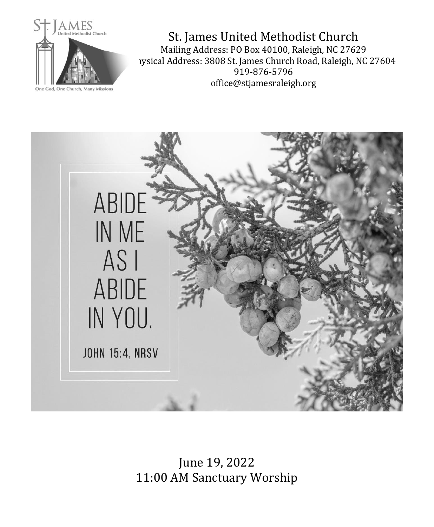

St. James United Methodist Church Mailing Address: PO Box 40100, Raleigh, NC 27629 1ysical Address: 3808 St. James Church Road, Raleigh, NC 27604 919-876-5796 office@stjamesraleigh.org



June 19, 2022 11:00 AM Sanctuary Worship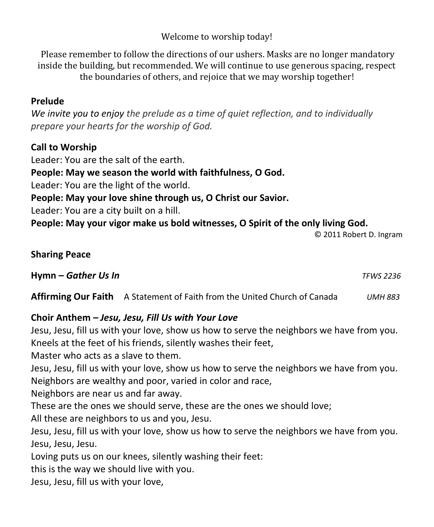Welcome to worship today!

Please remember to follow the directions of our ushers. Masks are no longer mandatory inside the building, but recommended. We will continue to use generous spacing, respect the boundaries of others, and rejoice that we may worship together!

# **Prelude**

*We invite you to enjoy the prelude as a time of quiet reflection, and to individually prepare your hearts for the worship of God.*

# **Call to Worship**

Leader: You are the salt of the earth. **People: May we season the world with faithfulness, O God.** Leader: You are the light of the world. **People: May your love shine through us, O Christ our Savior.** Leader: You are a city built on a hill. **People: May your vigor make us bold witnesses, O Spirit of the only living God.**

© 2011 Robert D. Ingram

#### **Sharing Peace**

**Hymn –** *Gather Us In TFWS 2236*

**Affirming Our Faith** A Statement of Faith from the United Church of Canada *UMH 883*

# **Choir Anthem** *– Jesu, Jesu, Fill Us with Your Love*

Jesu, Jesu, fill us with your love, show us how to serve the neighbors we have from you. Kneels at the feet of his friends, silently washes their feet,

Master who acts as a slave to them.

Jesu, Jesu, fill us with your love, show us how to serve the neighbors we have from you. Neighbors are wealthy and poor, varied in color and race,

Neighbors are near us and far away.

These are the ones we should serve, these are the ones we should love;

All these are neighbors to us and you, Jesu.

Jesu, Jesu, fill us with your love, show us how to serve the neighbors we have from you. Jesu, Jesu, Jesu.

Loving puts us on our knees, silently washing their feet:

this is the way we should live with you.

Jesu, Jesu, fill us with your love,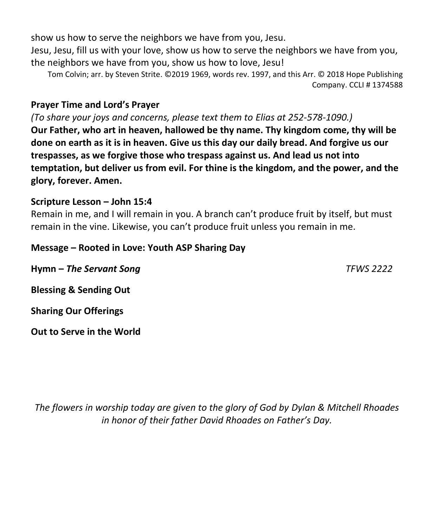show us how to serve the neighbors we have from you, Jesu.

Jesu, Jesu, fill us with your love, show us how to serve the neighbors we have from you, the neighbors we have from you, show us how to love, Jesu!

Tom Colvin; arr. by Steven Strite. ©2019 1969, words rev. 1997, and this Arr. © 2018 Hope Publishing Company. CCLI # 1374588

### **Prayer Time and Lord's Prayer**

*(To share your joys and concerns, please text them to Elias at 252-578-1090.)* **Our Father, who art in heaven, hallowed be thy name. Thy kingdom come, thy will be done on earth as it is in heaven. Give us this day our daily bread. And forgive us our trespasses, as we forgive those who trespass against us. And lead us not into temptation, but deliver us from evil. For thine is the kingdom, and the power, and the glory, forever. Amen.** 

## **Scripture Lesson – John 15:4**

Remain in me, and I will remain in you. A branch can't produce fruit by itself, but must remain in the vine. Likewise, you can't produce fruit unless you remain in me.

## **Message – Rooted in Love: Youth ASP Sharing Day**

**Hymn –** *The Servant Song TFWS 2222* **Blessing & Sending Out Sharing Our Offerings**

**Out to Serve in the World**

*The flowers in worship today are given to the glory of God by Dylan & Mitchell Rhoades in honor of their father David Rhoades on Father's Day.*